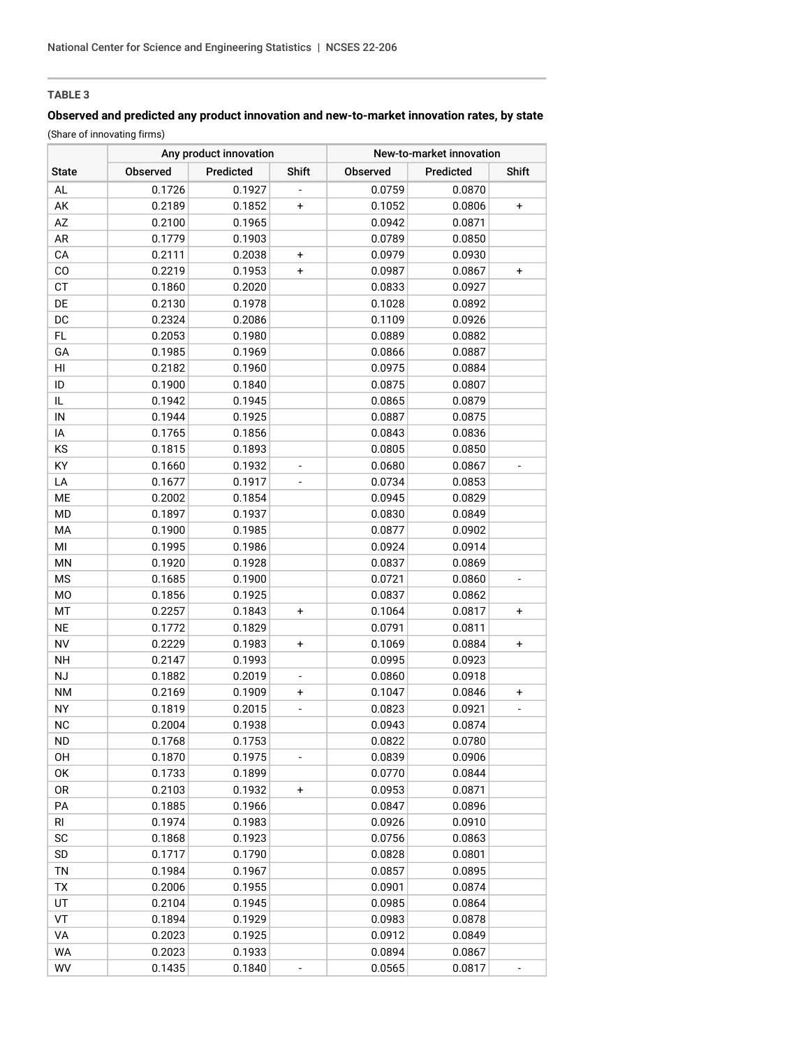# **TABLE 3**

# **Observed and predicted any product innovation and new-to-market innovation rates, by state**

(Share of innovating firms)

| <b>State</b>   |          | Any product innovation |                          | New-to-market innovation |           |                          |  |
|----------------|----------|------------------------|--------------------------|--------------------------|-----------|--------------------------|--|
|                | Observed | Predicted              | Shift                    | Observed                 | Predicted | Shift                    |  |
| AL             | 0.1726   | 0.1927                 |                          | 0.0759                   | 0.0870    |                          |  |
| AK             | 0.2189   | 0.1852                 | $\ddot{}$                | 0.1052                   | 0.0806    | $\ddot{}$                |  |
| AZ             | 0.2100   | 0.1965                 |                          | 0.0942                   | 0.0871    |                          |  |
| AR             | 0.1779   | 0.1903                 |                          | 0.0789                   | 0.0850    |                          |  |
| CA             | 0.2111   | 0.2038                 | $\ddot{}$                | 0.0979                   | 0.0930    |                          |  |
| CO             | 0.2219   | 0.1953                 | $\ddot{}$                | 0.0987                   | 0.0867    | +                        |  |
| <b>CT</b>      | 0.1860   | 0.2020                 |                          | 0.0833                   | 0.0927    |                          |  |
| DE             | 0.2130   | 0.1978                 |                          | 0.1028                   | 0.0892    |                          |  |
| DC             | 0.2324   | 0.2086                 |                          | 0.1109                   | 0.0926    |                          |  |
| FL             | 0.2053   | 0.1980                 |                          | 0.0889                   | 0.0882    |                          |  |
| GA             | 0.1985   | 0.1969                 |                          | 0.0866                   | 0.0887    |                          |  |
| HI             | 0.2182   | 0.1960                 |                          | 0.0975                   | 0.0884    |                          |  |
| ID             | 0.1900   | 0.1840                 |                          | 0.0875                   | 0.0807    |                          |  |
| IL             | 0.1942   | 0.1945                 |                          | 0.0865                   | 0.0879    |                          |  |
| ${\sf IN}$     | 0.1944   | 0.1925                 |                          | 0.0887                   | 0.0875    |                          |  |
| IA             | 0.1765   | 0.1856                 |                          | 0.0843                   | 0.0836    |                          |  |
| KS             | 0.1815   | 0.1893                 |                          | 0.0805                   | 0.0850    |                          |  |
| KY             | 0.1660   | 0.1932                 |                          | 0.0680                   | 0.0867    |                          |  |
| LA             | 0.1677   | 0.1917                 |                          | 0.0734                   | 0.0853    |                          |  |
| ME             | 0.2002   | 0.1854                 |                          | 0.0945                   | 0.0829    |                          |  |
| <b>MD</b>      | 0.1897   | 0.1937                 |                          | 0.0830                   | 0.0849    |                          |  |
| MA             | 0.1900   | 0.1985                 |                          | 0.0877                   | 0.0902    |                          |  |
| MI             | 0.1995   | 0.1986                 |                          | 0.0924                   | 0.0914    |                          |  |
| MN             | 0.1920   | 0.1928                 |                          | 0.0837                   | 0.0869    |                          |  |
| <b>MS</b>      | 0.1685   | 0.1900                 |                          | 0.0721                   | 0.0860    | $\overline{\phantom{0}}$ |  |
| M <sub>O</sub> | 0.1856   | 0.1925                 |                          | 0.0837                   | 0.0862    |                          |  |
| MT             | 0.2257   | 0.1843                 | $\ddot{}$                | 0.1064                   | 0.0817    | $\ddot{}$                |  |
| <b>NE</b>      | 0.1772   | 0.1829                 |                          | 0.0791                   | 0.0811    |                          |  |
| <b>NV</b>      | 0.2229   | 0.1983                 | $\ddot{}$                | 0.1069                   | 0.0884    | $\ddot{}$                |  |
| <b>NH</b>      | 0.2147   | 0.1993                 |                          | 0.0995                   | 0.0923    |                          |  |
| NJ             | 0.1882   | 0.2019                 | $\overline{\phantom{a}}$ | 0.0860                   | 0.0918    |                          |  |
| <b>NM</b>      | 0.2169   | 0.1909                 | +                        | 0.1047                   | 0.0846    | +                        |  |
| <b>NY</b>      | 0.1819   | 0.2015                 |                          | 0.0823                   | 0.0921    |                          |  |
| <b>NC</b>      | 0.2004   | 0.1938                 |                          | 0.0943                   | 0.0874    |                          |  |
| <b>ND</b>      | 0.1768   | 0.1753                 |                          | 0.0822                   | 0.0780    |                          |  |
| OH             | 0.1870   | 0.1975                 |                          | 0.0839                   | 0.0906    |                          |  |
| OK             | 0.1733   | 0.1899                 |                          | 0.0770                   | 0.0844    |                          |  |
| 0R             | 0.2103   | 0.1932                 | +                        | 0.0953                   | 0.0871    |                          |  |
| PA             | 0.1885   | 0.1966                 |                          | 0.0847                   | 0.0896    |                          |  |
| <b>RI</b>      | 0.1974   | 0.1983                 |                          | 0.0926                   | 0.0910    |                          |  |
| SC             | 0.1868   | 0.1923                 |                          | 0.0756                   | 0.0863    |                          |  |
| SD             | 0.1717   | 0.1790                 |                          | 0.0828                   | 0.0801    |                          |  |
| TN             | 0.1984   | 0.1967                 |                          | 0.0857                   | 0.0895    |                          |  |
| TX             | 0.2006   | 0.1955                 |                          | 0.0901                   | 0.0874    |                          |  |
| UT             | 0.2104   | 0.1945                 |                          | 0.0985                   | 0.0864    |                          |  |
| VT             | 0.1894   | 0.1929                 |                          | 0.0983                   | 0.0878    |                          |  |
| VA             | 0.2023   | 0.1925                 |                          | 0.0912                   | 0.0849    |                          |  |
| WA             | 0.2023   | 0.1933                 |                          | 0.0894                   | 0.0867    |                          |  |
| WV             | 0.1435   | 0.1840                 | $\overline{\phantom{a}}$ | 0.0565                   | 0.0817    | $\overline{\phantom{m}}$ |  |